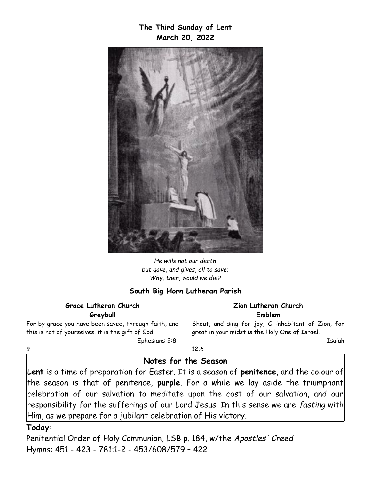**The Third Sunday of Lent March 20, 2022**



*He wills not our death but gave, and gives, all to save; Why, then, would we die?*

#### **South Big Horn Lutheran Parish**

#### **Grace Lutheran Church Greybull**

For by grace you have been saved, through faith, and this is not of yourselves, it is the gift of God. Ephesians 2:8**Zion Lutheran Church Emblem**

Shout, and sing for joy, O inhabitant of Zion, for great in your midst is the Holy One of Israel.

Isaiah

12:6

### **Notes for the Season**

**Lent** is a time of preparation for Easter. It is a season of **penitence**, and the colour of the season is that of penitence, **purple**. For a while we lay aside the triumphant celebration of our salvation to meditate upon the cost of our salvation, and our responsibility for the sufferings of our Lord Jesus. In this sense we are *fasting* with Him, as we prepare for a jubilant celebration of His victory.

#### **Today:**

9

Penitential Order of Holy Communion, LSB p. 184, w/the *Apostles' Creed* Hymns: 451 - 423 - 781:1-2 - 453/608/579 – 422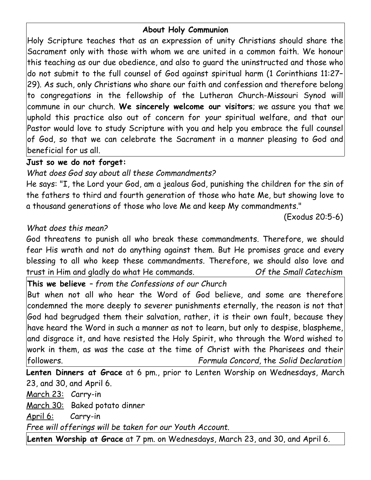## **About Holy Communion**

Holy Scripture teaches that as an expression of unity Christians should share the Sacrament only with those with whom we are united in a common faith. We honour this teaching as our due obedience, and also to guard the uninstructed and those who do not submit to the full counsel of God against spiritual harm (1 Corinthians 11:27– 29). As such, only Christians who share our faith and confession and therefore belong to congregations in the fellowship of the Lutheran Church-Missouri Synod will commune in our church. **We sincerely welcome our visitors**; we assure you that we uphold this practice also out of concern for *your* spiritual welfare, and that our Pastor would love to study Scripture with you and help you embrace the full counsel of God, so that we can celebrate the Sacrament in a manner pleasing to God and beneficial for us all.

### **Just so we do not forget:**

# *What does God say about all these Commandments?*

He says: "I, the Lord your God, am a jealous God, punishing the children for the sin of the fathers to third and fourth generation of those who hate Me, but showing love to a thousand generations of those who love Me and keep My commandments."

(Exodus 20:5-6)

## *What does this mean?*

God threatens to punish all who break these commandments. Therefore, we should fear His wrath and not do anything against them. But He promises grace and every blessing to all who keep these commandments. Therefore, we should also love and trust in Him and gladly do what He commands. *Of the Small Catechism*

**This we believe** *– from the Confessions of our Church*

But when not all who hear the Word of God believe, and some are therefore condemned the more deeply to severer punishments eternally, the reason is not that God had begrudged them their salvation, rather, it is their own fault, because they have heard the Word in such a manner as not to learn, but only to despise, blaspheme, and disgrace it, and have resisted the Holy Spirit, who through the Word wished to work in them, as was the case at the time of Christ with the Pharisees and their followers. *Formula Concord,* the *Solid Declaration*

**Lenten Dinners at Grace** at 6 pm., prior to Lenten Worship on Wednesdays, March 23, and 30, and April 6.

March 23: Carry-in

March 30: Baked potato dinner

April 6: Carry-in

*Free will offerings will be taken for our Youth Account.*

**Lenten Worship at Grace** at 7 pm. on Wednesdays, March 23, and 30, and April 6.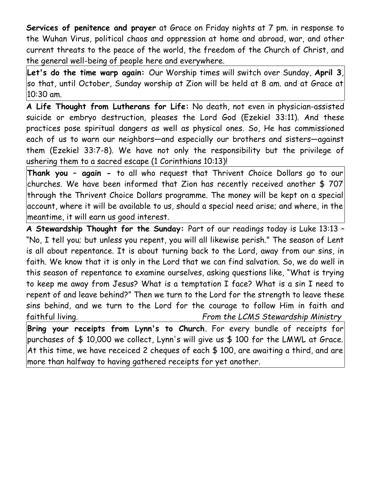**Services of penitence and prayer** at Grace on Friday nights at 7 pm. in response to the Wuhan Virus, political chaos and oppression at home and abroad, war, and other current threats to the peace of the world, the freedom of the Church of Christ, and the general well-being of people here and everywhere.

**Let's do the time warp again:** Our Worship times will switch over Sunday, **April 3**, so that, until October, Sunday worship at Zion will be held at 8 am. and at Grace at 10:30 am.

**A Life Thought from Lutherans for Life:** No death, not even in physician-assisted suicide or embryo destruction, pleases the Lord God (Ezekiel 33:11). And these practices pose spiritual dangers as well as physical ones. So, He has commissioned each of us to warn our neighbors—and especially our brothers and sisters—against them (Ezekiel 33:7-8). We have not only the responsibility but the privilege of ushering them to a sacred escape (1 Corinthians 10:13)!

**Thank you – again -** to all who request that Thrivent Choice Dollars go to our churches. We have been informed that Zion has recently received another \$ 707 through the Thrivent Choice Dollars programme. The money will be kept on a special account, where it will be available to us, should a special need arise; and where, in the meantime, it will earn us good interest.

**A Stewardship Thought for the Sunday:** Part of our readings today is Luke 13:13 – "No, I tell you; but unless you repent, you will all likewise perish." The season of Lent is all about repentance. It is about turning back to the Lord, away from our sins, in faith. We know that it is only in the Lord that we can find salvation. So, we do well in this season of repentance to examine ourselves, asking questions like, "What is trying to keep me away from Jesus? What is a temptation I face? What is a sin I need to repent of and leave behind?" Then we turn to the Lord for the strength to leave these sins behind, and we turn to the Lord for the courage to follow Him in faith and faithful living. *From the LCMS Stewardship Ministry*

**Bring your receipts from Lynn's to Church**. For every bundle of receipts for purchases of \$ 10,000 we collect, Lynn's will give us \$ 100 for the LMWL at Grace. At this time, we have receiced 2 cheques of each \$ 100, are awaiting a third, and are more than halfway to having gathered receipts for yet another.